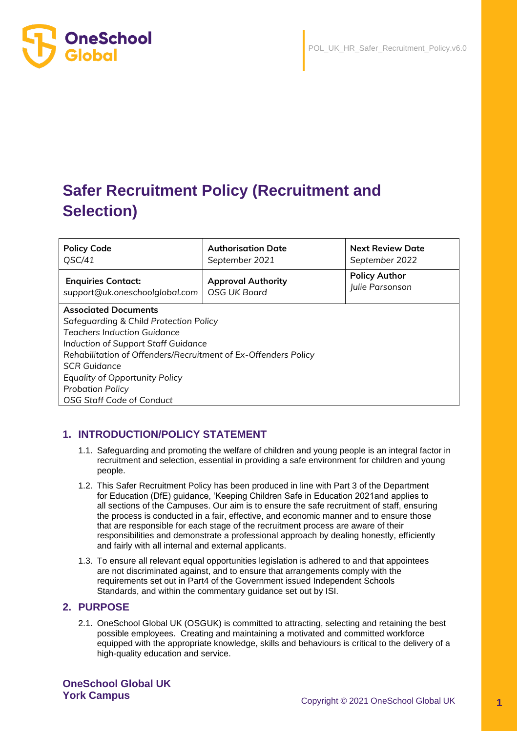

# **Safer Recruitment Policy (Recruitment and Selection)**

| <b>Policy Code</b><br>QSC/41                                   | <b>Authorisation Date</b><br>September 2021      | <b>Next Review Date</b><br>September 2022 |  |  |  |
|----------------------------------------------------------------|--------------------------------------------------|-------------------------------------------|--|--|--|
| <b>Enquiries Contact:</b><br>support@uk.oneschoolglobal.com    | <b>Approval Authority</b><br><b>OSG UK Board</b> | <b>Policy Author</b><br>Julie Parsonson   |  |  |  |
| <b>Associated Documents</b>                                    |                                                  |                                           |  |  |  |
| Safeguarding & Child Protection Policy                         |                                                  |                                           |  |  |  |
| Teachers Induction Guidance                                    |                                                  |                                           |  |  |  |
| Induction of Support Staff Guidance                            |                                                  |                                           |  |  |  |
| Rehabilitation of Offenders/Recruitment of Ex-Offenders Policy |                                                  |                                           |  |  |  |
| <b>SCR Guidance</b>                                            |                                                  |                                           |  |  |  |
| <b>Equality of Opportunity Policy</b>                          |                                                  |                                           |  |  |  |
| <b>Probation Policy</b>                                        |                                                  |                                           |  |  |  |
| <b>OSG Staff Code of Conduct</b>                               |                                                  |                                           |  |  |  |

# **1. INTRODUCTION/POLICY STATEMENT**

- 1.1. Safeguarding and promoting the welfare of children and young people is an integral factor in recruitment and selection, essential in providing a safe environment for children and young people.
- 1.2. This Safer Recruitment Policy has been produced in line with Part 3 of the Department for Education (DfE) guidance, 'Keeping Children Safe in Education 2021and applies to all sections of the Campuses. Our aim is to ensure the safe recruitment of staff, ensuring the process is conducted in a fair, effective, and economic manner and to ensure those that are responsible for each stage of the recruitment process are aware of their responsibilities and demonstrate a professional approach by dealing honestly, efficiently and fairly with all internal and external applicants.
- 1.3. To ensure all relevant equal opportunities legislation is adhered to and that appointees are not discriminated against, and to ensure that arrangements comply with the requirements set out in Part4 of the Government issued Independent Schools Standards, and within the commentary guidance set out by ISI.

# **2. PURPOSE**

2.1. OneSchool Global UK (OSGUK) is committed to attracting, selecting and retaining the best possible employees. Creating and maintaining a motivated and committed workforce equipped with the appropriate knowledge, skills and behaviours is critical to the delivery of a high-quality education and service.

**OneSchool Global UK**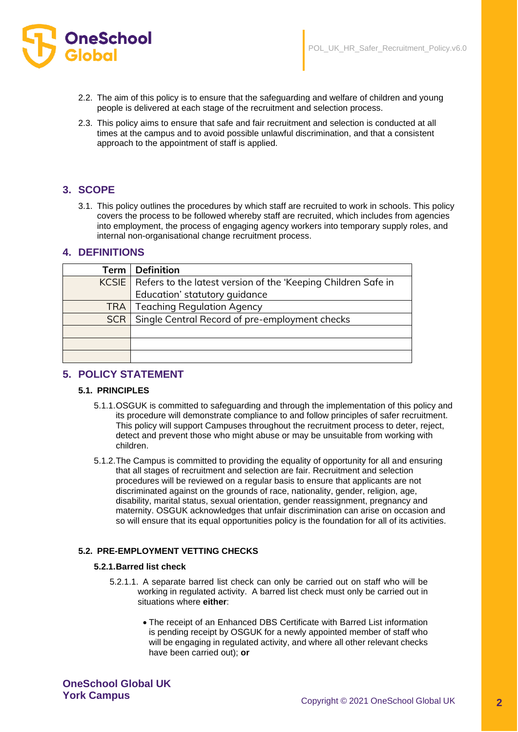

- 2.2. The aim of this policy is to ensure that the safeguarding and welfare of children and young people is delivered at each stage of the recruitment and selection process.
- 2.3. This policy aims to ensure that safe and fair recruitment and selection is conducted at all times at the campus and to avoid possible unlawful discrimination, and that a consistent approach to the appointment of staff is applied.

# **3. SCOPE**

3.1. This policy outlines the procedures by which staff are recruited to work in schools. This policy covers the process to be followed whereby staff are recruited, which includes from agencies into employment, the process of engaging agency workers into temporary supply roles, and internal non-organisational change recruitment process.

# **4. DEFINITIONS**

| Term       | <b>Definition</b>                                                     |
|------------|-----------------------------------------------------------------------|
|            | KCSIE   Refers to the latest version of the 'Keeping Children Safe in |
|            | Education' statutory guidance                                         |
| TRA        | <b>Teaching Regulation Agency</b>                                     |
| <b>SCR</b> | Single Central Record of pre-employment checks                        |
|            |                                                                       |
|            |                                                                       |
|            |                                                                       |

# **5. POLICY STATEMENT**

#### **5.1. PRINCIPLES**

- 5.1.1.OSGUK is committed to safeguarding and through the implementation of this policy and its procedure will demonstrate compliance to and follow principles of safer recruitment. This policy will support Campuses throughout the recruitment process to deter, reject, detect and prevent those who might abuse or may be unsuitable from working with children.
- 5.1.2.The Campus is committed to providing the equality of opportunity for all and ensuring that all stages of recruitment and selection are fair. Recruitment and selection procedures will be reviewed on a regular basis to ensure that applicants are not discriminated against on the grounds of race, nationality, gender, religion, age, disability, marital status, sexual orientation, gender reassignment, pregnancy and maternity. OSGUK acknowledges that unfair discrimination can arise on occasion and so will ensure that its equal opportunities policy is the foundation for all of its activities.

# **5.2. PRE-EMPLOYMENT VETTING CHECKS**

# **5.2.1.Barred list check**

- 5.2.1.1. A separate barred list check can only be carried out on staff who will be working in regulated activity. A barred list check must only be carried out in situations where **either**:
	- The receipt of an Enhanced DBS Certificate with Barred List information is pending receipt by OSGUK for a newly appointed member of staff who will be engaging in regulated activity, and where all other relevant checks have been carried out); **or**

**OneSchool Global UK**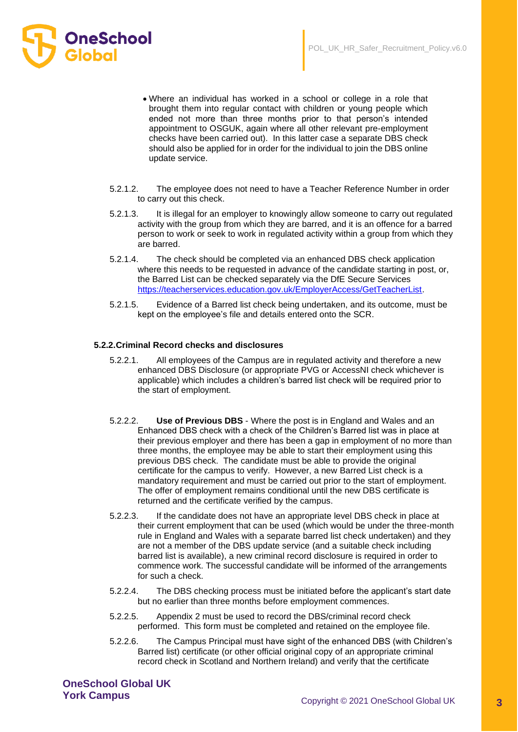

- Where an individual has worked in a school or college in a role that brought them into regular contact with children or young people which ended not more than three months prior to that person's intended appointment to OSGUK, again where all other relevant pre-employment checks have been carried out). In this latter case a separate DBS check should also be applied for in order for the individual to join the DBS online update service.
- 5.2.1.2. The employee does not need to have a Teacher Reference Number in order to carry out this check.
- 5.2.1.3. It is illegal for an employer to knowingly allow someone to carry out regulated activity with the group from which they are barred, and it is an offence for a barred person to work or seek to work in regulated activity within a group from which they are barred.
- 5.2.1.4. The check should be completed via an enhanced DBS check application where this needs to be requested in advance of the candidate starting in post, or, the Barred List can be checked separately via the DfE Secure Services [https://teacherservices.education.gov.uk/EmployerAccess/GetTeacherList.](https://teacherservices.education.gov.uk/EmployerAccess/GetTeacherList)
- 5.2.1.5. Evidence of a Barred list check being undertaken, and its outcome, must be kept on the employee's file and details entered onto the SCR.

#### **5.2.2.Criminal Record checks and disclosures**

- 5.2.2.1. All employees of the Campus are in regulated activity and therefore a new enhanced DBS Disclosure (or appropriate PVG or AccessNI check whichever is applicable) which includes a children's barred list check will be required prior to the start of employment.
- 5.2.2.2. **Use of Previous DBS** Where the post is in England and Wales and an Enhanced DBS check with a check of the Children's Barred list was in place at their previous employer and there has been a gap in employment of no more than three months, the employee may be able to start their employment using this previous DBS check. The candidate must be able to provide the original certificate for the campus to verify. However, a new Barred List check is a mandatory requirement and must be carried out prior to the start of employment. The offer of employment remains conditional until the new DBS certificate is returned and the certificate verified by the campus.
- 5.2.2.3. If the candidate does not have an appropriate level DBS check in place at their current employment that can be used (which would be under the three-month rule in England and Wales with a separate barred list check undertaken) and they are not a member of the DBS update service (and a suitable check including barred list is available), a new criminal record disclosure is required in order to commence work. The successful candidate will be informed of the arrangements for such a check.
- 5.2.2.4. The DBS checking process must be initiated before the applicant's start date but no earlier than three months before employment commences.
- 5.2.2.5. Appendix 2 must be used to record the DBS/criminal record check performed. This form must be completed and retained on the employee file.
- 5.2.2.6. The Campus Principal must have sight of the enhanced DBS (with Children's Barred list) certificate (or other official original copy of an appropriate criminal record check in Scotland and Northern Ireland) and verify that the certificate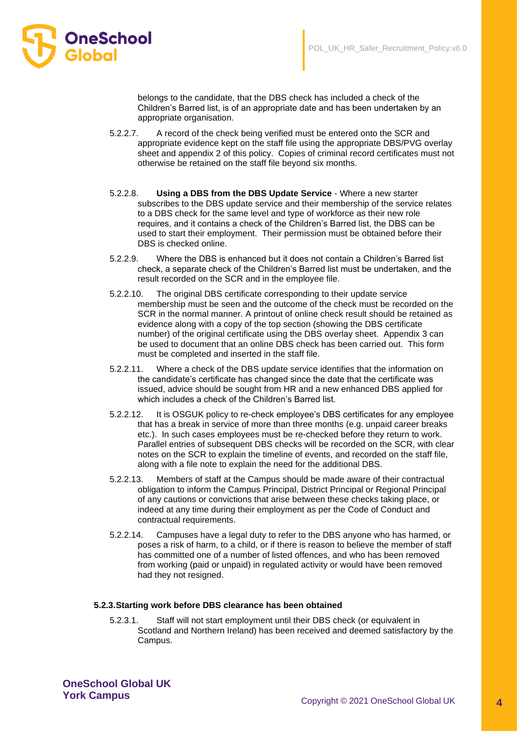

belongs to the candidate, that the DBS check has included a check of the Children's Barred list, is of an appropriate date and has been undertaken by an appropriate organisation.

- 5.2.2.7. A record of the check being verified must be entered onto the SCR and appropriate evidence kept on the staff file using the appropriate DBS/PVG overlay sheet and appendix 2 of this policy. Copies of criminal record certificates must not otherwise be retained on the staff file beyond six months.
- 5.2.2.8. **Using a DBS from the DBS Update Service** Where a new starter subscribes to the DBS update service and their membership of the service relates to a DBS check for the same level and type of workforce as their new role requires, and it contains a check of the Children's Barred list, the DBS can be used to start their employment. Their permission must be obtained before their DBS is checked online.
- 5.2.2.9. Where the DBS is enhanced but it does not contain a Children's Barred list check, a separate check of the Children's Barred list must be undertaken, and the result recorded on the SCR and in the employee file.
- 5.2.2.10. The original DBS certificate corresponding to their update service membership must be seen and the outcome of the check must be recorded on the SCR in the normal manner. A printout of online check result should be retained as evidence along with a copy of the top section (showing the DBS certificate number) of the original certificate using the DBS overlay sheet. Appendix 3 can be used to document that an online DBS check has been carried out. This form must be completed and inserted in the staff file.
- 5.2.2.11. Where a check of the DBS update service identifies that the information on the candidate's certificate has changed since the date that the certificate was issued, advice should be sought from HR and a new enhanced DBS applied for which includes a check of the Children's Barred list.
- 5.2.2.12. It is OSGUK policy to re-check employee's DBS certificates for any employee that has a break in service of more than three months (e.g. unpaid career breaks etc.). In such cases employees must be re-checked before they return to work. Parallel entries of subsequent DBS checks will be recorded on the SCR, with clear notes on the SCR to explain the timeline of events, and recorded on the staff file, along with a file note to explain the need for the additional DBS.
- 5.2.2.13. Members of staff at the Campus should be made aware of their contractual obligation to inform the Campus Principal, District Principal or Regional Principal of any cautions or convictions that arise between these checks taking place, or indeed at any time during their employment as per the Code of Conduct and contractual requirements.
- 5.2.2.14. Campuses have a legal duty to refer to the DBS anyone who has harmed, or poses a risk of harm, to a child, or if there is reason to believe the member of staff has committed one of a number of listed offences, and who has been removed from working (paid or unpaid) in regulated activity or would have been removed had they not resigned.

# **5.2.3.Starting work before DBS clearance has been obtained**

5.2.3.1. Staff will not start employment until their DBS check (or equivalent in Scotland and Northern Ireland) has been received and deemed satisfactory by the Campus.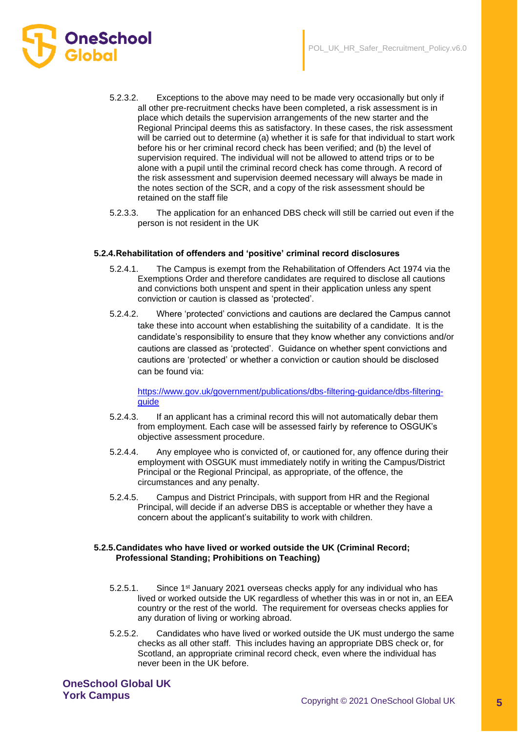

- 5.2.3.2. Exceptions to the above may need to be made very occasionally but only if all other pre-recruitment checks have been completed, a risk assessment is in place which details the supervision arrangements of the new starter and the Regional Principal deems this as satisfactory. In these cases, the risk assessment will be carried out to determine (a) whether it is safe for that individual to start work before his or her criminal record check has been verified; and (b) the level of supervision required. The individual will not be allowed to attend trips or to be alone with a pupil until the criminal record check has come through. A record of the risk assessment and supervision deemed necessary will always be made in the notes section of the SCR, and a copy of the risk assessment should be retained on the staff file
- 5.2.3.3. The application for an enhanced DBS check will still be carried out even if the person is not resident in the UK

## **5.2.4.Rehabilitation of offenders and 'positive' criminal record disclosures**

- 5.2.4.1. The Campus is exempt from the Rehabilitation of Offenders Act 1974 via the Exemptions Order and therefore candidates are required to disclose all cautions and convictions both unspent and spent in their application unless any spent conviction or caution is classed as 'protected'.
- 5.2.4.2. Where 'protected' convictions and cautions are declared the Campus cannot take these into account when establishing the suitability of a candidate. It is the candidate's responsibility to ensure that they know whether any convictions and/or cautions are classed as 'protected'. Guidance on whether spent convictions and cautions are 'protected' or whether a conviction or caution should be disclosed can be found via:

[https://www.gov.uk/government/publications/dbs-filtering-guidance/dbs-filtering](https://www.gov.uk/government/publications/dbs-filtering-guidance/dbs-filtering-guide)[guide](https://www.gov.uk/government/publications/dbs-filtering-guidance/dbs-filtering-guide)

- 5.2.4.3. If an applicant has a criminal record this will not automatically debar them from employment. Each case will be assessed fairly by reference to OSGUK's objective assessment procedure.
- 5.2.4.4. Any employee who is convicted of, or cautioned for, any offence during their employment with OSGUK must immediately notify in writing the Campus/District Principal or the Regional Principal, as appropriate, of the offence, the circumstances and any penalty.
- 5.2.4.5. Campus and District Principals, with support from HR and the Regional Principal, will decide if an adverse DBS is acceptable or whether they have a concern about the applicant's suitability to work with children.

#### **5.2.5.Candidates who have lived or worked outside the UK (Criminal Record; Professional Standing; Prohibitions on Teaching)**

- 5.2.5.1. Since 1st January 2021 overseas checks apply for any individual who has lived or worked outside the UK regardless of whether this was in or not in, an EEA country or the rest of the world. The requirement for overseas checks applies for any duration of living or working abroad.
- 5.2.5.2. Candidates who have lived or worked outside the UK must undergo the same checks as all other staff. This includes having an appropriate DBS check or, for Scotland, an appropriate criminal record check, even where the individual has never been in the UK before.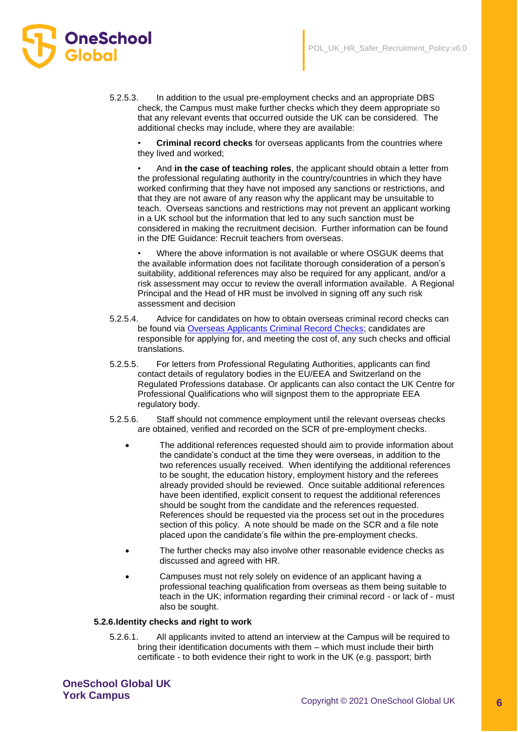- OneSchool
	- 5.2.5.3. In addition to the usual pre-employment checks and an appropriate DBS check, the Campus must make further checks which they deem appropriate so that any relevant events that occurred outside the UK can be considered. The additional checks may include, where they are available:

• **Criminal record checks** for overseas applicants from the countries where they lived and worked;

• And **in the case of teaching roles**, the applicant should obtain a letter from the professional regulating authority in the country/countries in which they have worked confirming that they have not imposed any sanctions or restrictions, and that they are not aware of any reason why the applicant may be unsuitable to teach. Overseas sanctions and restrictions may not prevent an applicant working in a UK school but the information that led to any such sanction must be considered in making the recruitment decision. Further information can be found in the DfE Guidance: Recruit teachers from overseas.

• Where the above information is not available or where OSGUK deems that the available information does not facilitate thorough consideration of a person's suitability, additional references may also be required for any applicant, and/or a risk assessment may occur to review the overall information available. A Regional Principal and the Head of HR must be involved in signing off any such risk assessment and decision

- 5.2.5.4. Advice for candidates on how to obtain overseas criminal record checks can be found via [Overseas Applicants Criminal Record Checks;](https://www.gov.uk/government/publications/criminal-records-checks-for-overseas-applicants) candidates are responsible for applying for, and meeting the cost of, any such checks and official translations.
- 5.2.5.5. For letters from Professional Regulating Authorities, applicants can find contact details of regulatory bodies in the EU/EEA and Switzerland on the Regulated Professions database. Or applicants can also contact the UK Centre for Professional Qualifications who will signpost them to the appropriate EEA regulatory body.
- 5.2.5.6. Staff should not commence employment until the relevant overseas checks are obtained, verified and recorded on the SCR of pre-employment checks.
	- The additional references requested should aim to provide information about the candidate's conduct at the time they were overseas, in addition to the two references usually received. When identifying the additional references to be sought, the education history, employment history and the referees already provided should be reviewed. Once suitable additional references have been identified, explicit consent to request the additional references should be sought from the candidate and the references requested. References should be requested via the process set out in the procedures section of this policy. A note should be made on the SCR and a file note placed upon the candidate's file within the pre-employment checks.
	- The further checks may also involve other reasonable evidence checks as discussed and agreed with HR.
	- Campuses must not rely solely on evidence of an applicant having a professional teaching qualification from overseas as them being suitable to teach in the UK; information regarding their criminal record - or lack of - must also be sought.

# **5.2.6.Identity checks and right to work**

5.2.6.1. All applicants invited to attend an interview at the Campus will be required to bring their identification documents with them – which must include their birth certificate - to both evidence their right to work in the UK (e.g. passport; birth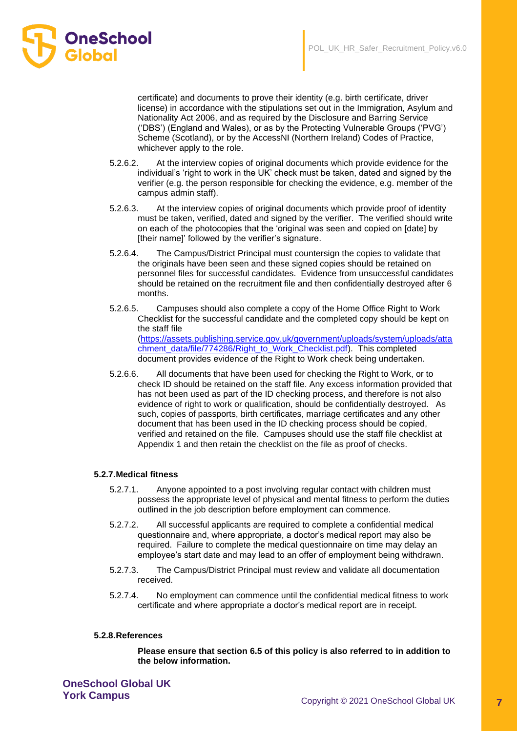

certificate) and documents to prove their identity (e.g. birth certificate, driver license) in accordance with the stipulations set out in the Immigration, Asylum and Nationality Act 2006, and as required by the Disclosure and Barring Service ('DBS') (England and Wales), or as by the Protecting Vulnerable Groups ('PVG') Scheme (Scotland), or by the AccessNI (Northern Ireland) Codes of Practice, whichever apply to the role.

- 5.2.6.2. At the interview copies of original documents which provide evidence for the individual's 'right to work in the UK' check must be taken, dated and signed by the verifier (e.g. the person responsible for checking the evidence, e.g. member of the campus admin staff).
- 5.2.6.3. At the interview copies of original documents which provide proof of identity must be taken, verified, dated and signed by the verifier. The verified should write on each of the photocopies that the 'original was seen and copied on [date] by [their name]' followed by the verifier's signature.
- 5.2.6.4. The Campus/District Principal must countersign the copies to validate that the originals have been seen and these signed copies should be retained on personnel files for successful candidates. Evidence from unsuccessful candidates should be retained on the recruitment file and then confidentially destroyed after 6 months.
- 5.2.6.5. Campuses should also complete a copy of the Home Office Right to Work Checklist for the successful candidate and the completed copy should be kept on the staff file [\(https://assets.publishing.service.gov.uk/government/uploads/system/uploads/atta](https://assets.publishing.service.gov.uk/government/uploads/system/uploads/attachment_data/file/774286/Right_to_Work_Checklist.pdf) [chment\\_data/file/774286/Right\\_to\\_Work\\_Checklist.pdf\)](https://assets.publishing.service.gov.uk/government/uploads/system/uploads/attachment_data/file/774286/Right_to_Work_Checklist.pdf). This completed document provides evidence of the Right to Work check being undertaken.
- 5.2.6.6. All documents that have been used for checking the Right to Work, or to check ID should be retained on the staff file. Any excess information provided that has not been used as part of the ID checking process, and therefore is not also evidence of right to work or qualification, should be confidentially destroyed. As such, copies of passports, birth certificates, marriage certificates and any other document that has been used in the ID checking process should be copied, verified and retained on the file. Campuses should use the staff file checklist at Appendix 1 and then retain the checklist on the file as proof of checks.

# **5.2.7.Medical fitness**

- 5.2.7.1. Anyone appointed to a post involving regular contact with children must possess the appropriate level of physical and mental fitness to perform the duties outlined in the job description before employment can commence.
- 5.2.7.2. All successful applicants are required to complete a confidential medical questionnaire and, where appropriate, a doctor's medical report may also be required. Failure to complete the medical questionnaire on time may delay an employee's start date and may lead to an offer of employment being withdrawn.
- 5.2.7.3. The Campus/District Principal must review and validate all documentation received.
- 5.2.7.4. No employment can commence until the confidential medical fitness to work certificate and where appropriate a doctor's medical report are in receipt.

#### **5.2.8.References**

**Please ensure that section 6.5 of this policy is also referred to in addition to the below information.**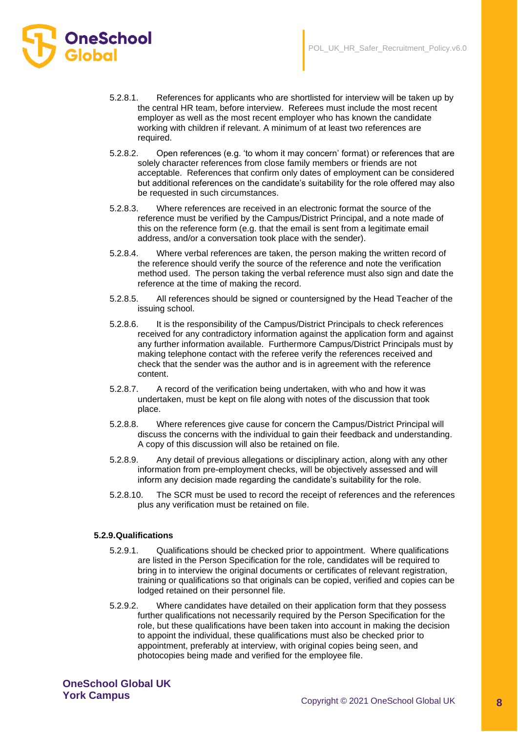- 5.2.8.1. References for applicants who are shortlisted for interview will be taken up by the central HR team, before interview. Referees must include the most recent employer as well as the most recent employer who has known the candidate working with children if relevant. A minimum of at least two references are required.
- 5.2.8.2. Open references (e.g. 'to whom it may concern' format) or references that are solely character references from close family members or friends are not acceptable. References that confirm only dates of employment can be considered but additional references on the candidate's suitability for the role offered may also be requested in such circumstances.
- 5.2.8.3. Where references are received in an electronic format the source of the reference must be verified by the Campus/District Principal, and a note made of this on the reference form (e.g. that the email is sent from a legitimate email address, and/or a conversation took place with the sender).
- 5.2.8.4. Where verbal references are taken, the person making the written record of the reference should verify the source of the reference and note the verification method used. The person taking the verbal reference must also sign and date the reference at the time of making the record.
- 5.2.8.5. All references should be signed or countersigned by the Head Teacher of the issuing school.
- 5.2.8.6. It is the responsibility of the Campus/District Principals to check references received for any contradictory information against the application form and against any further information available. Furthermore Campus/District Principals must by making telephone contact with the referee verify the references received and check that the sender was the author and is in agreement with the reference content.
- 5.2.8.7. A record of the verification being undertaken, with who and how it was undertaken, must be kept on file along with notes of the discussion that took place.
- 5.2.8.8. Where references give cause for concern the Campus/District Principal will discuss the concerns with the individual to gain their feedback and understanding. A copy of this discussion will also be retained on file.
- 5.2.8.9. Any detail of previous allegations or disciplinary action, along with any other information from pre-employment checks, will be objectively assessed and will inform any decision made regarding the candidate's suitability for the role.
- 5.2.8.10. The SCR must be used to record the receipt of references and the references plus any verification must be retained on file.

# **5.2.9.Qualifications**

**OneSchool** 

- 5.2.9.1. Qualifications should be checked prior to appointment. Where qualifications are listed in the Person Specification for the role, candidates will be required to bring in to interview the original documents or certificates of relevant registration, training or qualifications so that originals can be copied, verified and copies can be lodged retained on their personnel file.
- 5.2.9.2. Where candidates have detailed on their application form that they possess further qualifications not necessarily required by the Person Specification for the role, but these qualifications have been taken into account in making the decision to appoint the individual, these qualifications must also be checked prior to appointment, preferably at interview, with original copies being seen, and photocopies being made and verified for the employee file.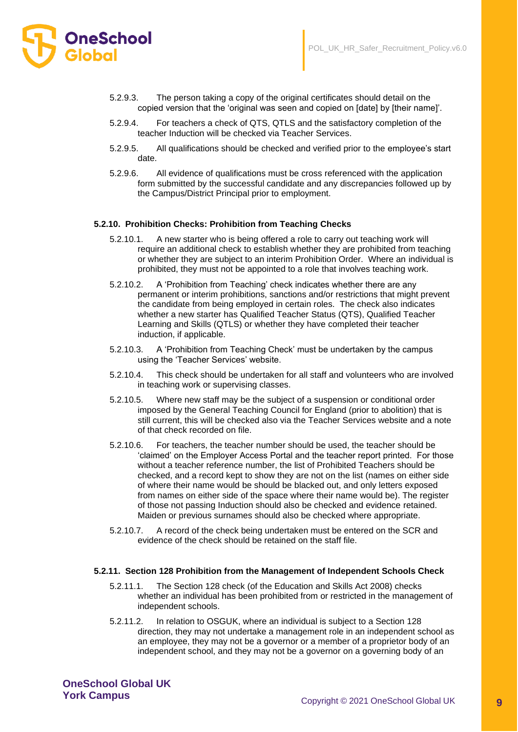- **OneSchool** 
	- 5.2.9.3. The person taking a copy of the original certificates should detail on the copied version that the 'original was seen and copied on [date] by [their name]'.
	- 5.2.9.4. For teachers a check of QTS, QTLS and the satisfactory completion of the teacher Induction will be checked via Teacher Services.
	- 5.2.9.5. All qualifications should be checked and verified prior to the employee's start date.
	- 5.2.9.6. All evidence of qualifications must be cross referenced with the application form submitted by the successful candidate and any discrepancies followed up by the Campus/District Principal prior to employment.

# **5.2.10. Prohibition Checks: Prohibition from Teaching Checks**

- 5.2.10.1. A new starter who is being offered a role to carry out teaching work will require an additional check to establish whether they are prohibited from teaching or whether they are subject to an interim Prohibition Order. Where an individual is prohibited, they must not be appointed to a role that involves teaching work.
- 5.2.10.2. A 'Prohibition from Teaching' check indicates whether there are any permanent or interim prohibitions, sanctions and/or restrictions that might prevent the candidate from being employed in certain roles. The check also indicates whether a new starter has Qualified Teacher Status (QTS), Qualified Teacher Learning and Skills (QTLS) or whether they have completed their teacher induction, if applicable.
- 5.2.10.3. A 'Prohibition from Teaching Check' must be undertaken by the campus using the 'Teacher Services' website.
- 5.2.10.4. This check should be undertaken for all staff and volunteers who are involved in teaching work or supervising classes.
- 5.2.10.5. Where new staff may be the subject of a suspension or conditional order imposed by the General Teaching Council for England (prior to abolition) that is still current, this will be checked also via the Teacher Services website and a note of that check recorded on file.
- 5.2.10.6. For teachers, the teacher number should be used, the teacher should be 'claimed' on the Employer Access Portal and the teacher report printed. For those without a teacher reference number, the list of Prohibited Teachers should be checked, and a record kept to show they are not on the list (names on either side of where their name would be should be blacked out, and only letters exposed from names on either side of the space where their name would be). The register of those not passing Induction should also be checked and evidence retained. Maiden or previous surnames should also be checked where appropriate.
- 5.2.10.7. A record of the check being undertaken must be entered on the SCR and evidence of the check should be retained on the staff file.

#### **5.2.11. Section 128 Prohibition from the Management of Independent Schools Check**

- 5.2.11.1. The Section 128 check (of the Education and Skills Act 2008) checks whether an individual has been prohibited from or restricted in the management of independent schools.
- 5.2.11.2. In relation to OSGUK, where an individual is subject to a Section 128 direction, they may not undertake a management role in an independent school as an employee, they may not be a governor or a member of a proprietor body of an independent school, and they may not be a governor on a governing body of an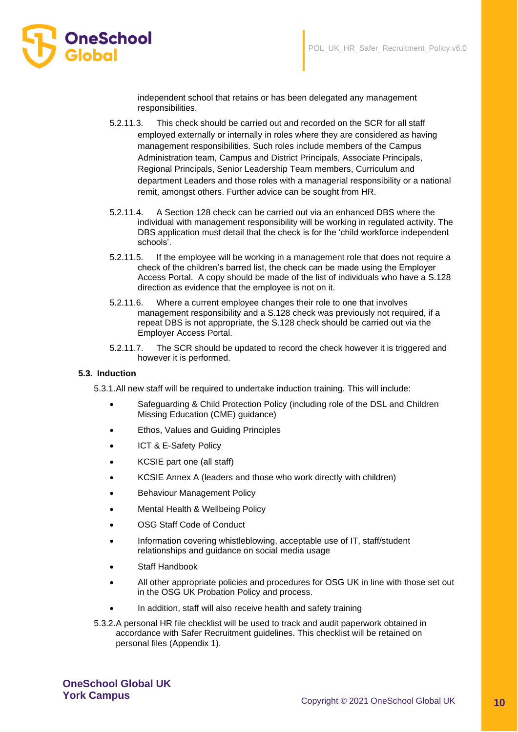

independent school that retains or has been delegated any management responsibilities.

- 5.2.11.3. This check should be carried out and recorded on the SCR for all staff employed externally or internally in roles where they are considered as having management responsibilities. Such roles include members of the Campus Administration team, Campus and District Principals, Associate Principals, Regional Principals, Senior Leadership Team members, Curriculum and department Leaders and those roles with a managerial responsibility or a national remit, amongst others. Further advice can be sought from HR.
- 5.2.11.4. A Section 128 check can be carried out via an enhanced DBS where the individual with management responsibility will be working in regulated activity. The DBS application must detail that the check is for the 'child workforce independent schools'.
- 5.2.11.5. If the employee will be working in a management role that does not require a check of the children's barred list, the check can be made using the Employer Access Portal. A copy should be made of the list of individuals who have a S.128 direction as evidence that the employee is not on it.
- 5.2.11.6. Where a current employee changes their role to one that involves management responsibility and a S.128 check was previously not required, if a repeat DBS is not appropriate, the S.128 check should be carried out via the Employer Access Portal.
- 5.2.11.7. The SCR should be updated to record the check however it is triggered and however it is performed.

#### **5.3. Induction**

5.3.1.All new staff will be required to undertake induction training. This will include:

- Safeguarding & Child Protection Policy (including role of the DSL and Children Missing Education (CME) guidance)
- Ethos, Values and Guiding Principles
- ICT & E-Safety Policy
- KCSIE part one (all staff)
- KCSIE Annex A (leaders and those who work directly with children)
- Behaviour Management Policy
- Mental Health & Wellbeing Policy
- OSG Staff Code of Conduct
- Information covering whistleblowing, acceptable use of IT, staff/student relationships and guidance on social media usage
- Staff Handbook
- All other appropriate policies and procedures for OSG UK in line with those set out in the OSG UK Probation Policy and process.
- In addition, staff will also receive health and safety training

5.3.2.A personal HR file checklist will be used to track and audit paperwork obtained in accordance with Safer Recruitment guidelines. This checklist will be retained on personal files (Appendix 1).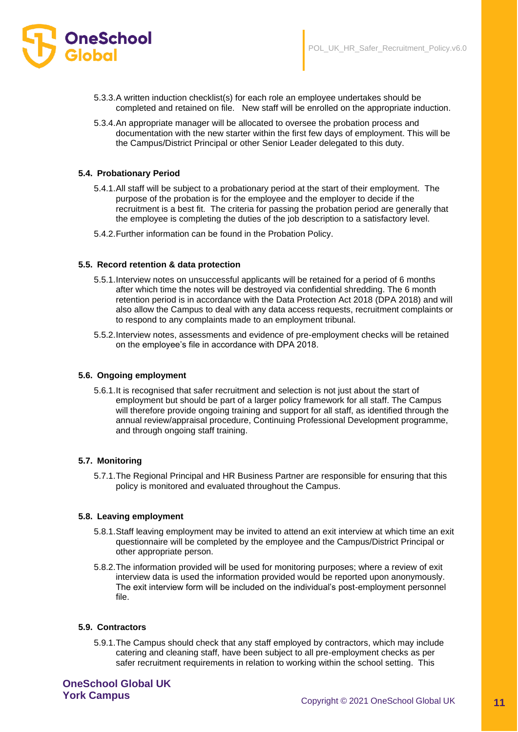

- 5.3.3.A written induction checklist(s) for each role an employee undertakes should be completed and retained on file. New staff will be enrolled on the appropriate induction.
- 5.3.4.An appropriate manager will be allocated to oversee the probation process and documentation with the new starter within the first few days of employment. This will be the Campus/District Principal or other Senior Leader delegated to this duty.

#### **5.4. Probationary Period**

- 5.4.1.All staff will be subject to a probationary period at the start of their employment. The purpose of the probation is for the employee and the employer to decide if the recruitment is a best fit. The criteria for passing the probation period are generally that the employee is completing the duties of the job description to a satisfactory level.
- 5.4.2.Further information can be found in the Probation Policy.

#### **5.5. Record retention & data protection**

- 5.5.1.Interview notes on unsuccessful applicants will be retained for a period of 6 months after which time the notes will be destroyed via confidential shredding. The 6 month retention period is in accordance with the Data Protection Act 2018 (DPA 2018) and will also allow the Campus to deal with any data access requests, recruitment complaints or to respond to any complaints made to an employment tribunal.
- 5.5.2.Interview notes, assessments and evidence of pre-employment checks will be retained on the employee's file in accordance with DPA 2018.

#### **5.6. Ongoing employment**

5.6.1.It is recognised that safer recruitment and selection is not just about the start of employment but should be part of a larger policy framework for all staff. The Campus will therefore provide ongoing training and support for all staff, as identified through the annual review/appraisal procedure, Continuing Professional Development programme, and through ongoing staff training.

#### **5.7. Monitoring**

5.7.1.The Regional Principal and HR Business Partner are responsible for ensuring that this policy is monitored and evaluated throughout the Campus.

#### **5.8. Leaving employment**

- 5.8.1.Staff leaving employment may be invited to attend an exit interview at which time an exit questionnaire will be completed by the employee and the Campus/District Principal or other appropriate person.
- 5.8.2.The information provided will be used for monitoring purposes; where a review of exit interview data is used the information provided would be reported upon anonymously. The exit interview form will be included on the individual's post-employment personnel file.

#### **5.9. Contractors**

5.9.1.The Campus should check that any staff employed by contractors, which may include catering and cleaning staff, have been subject to all pre-employment checks as per safer recruitment requirements in relation to working within the school setting. This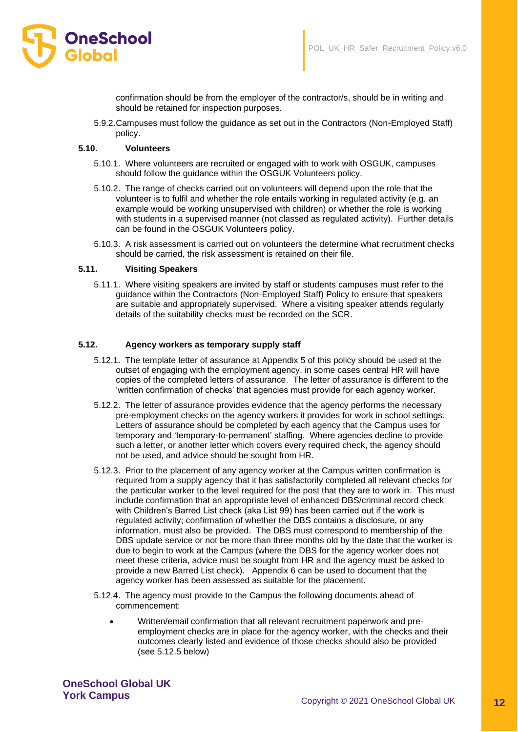

confirmation should be from the employer of the contractor/s, should be in writing and should be retained for inspection purposes.

5.9.2.Campuses must follow the guidance as set out in the Contractors (Non-Employed Staff) policy.

#### **5.10. Volunteers**

- 5.10.1. Where volunteers are recruited or engaged with to work with OSGUK, campuses should follow the guidance within the OSGUK Volunteers policy.
- 5.10.2. The range of checks carried out on volunteers will depend upon the role that the volunteer is to fulfil and whether the role entails working in regulated activity (e.g. an example would be working unsupervised with children) or whether the role is working with students in a supervised manner (not classed as regulated activity). Further details can be found in the OSGUK Volunteers policy.
- 5.10.3. A risk assessment is carried out on volunteers the determine what recruitment checks should be carried, the risk assessment is retained on their file.

#### **5.11. Visiting Speakers**

5.11.1. Where visiting speakers are invited by staff or students campuses must refer to the guidance within the Contractors (Non-Employed Staff) Policy to ensure that speakers are suitable and appropriately supervised. Where a visiting speaker attends regularly details of the suitability checks must be recorded on the SCR.

#### **5.12. Agency workers as temporary supply staff**

- 5.12.1. The template letter of assurance at Appendix 5 of this policy should be used at the outset of engaging with the employment agency, in some cases central HR will have copies of the completed letters of assurance. The letter of assurance is different to the 'written confirmation of checks' that agencies must provide for each agency worker.
- 5.12.2. The letter of assurance provides evidence that the agency performs the necessary pre-employment checks on the agency workers it provides for work in school settings. Letters of assurance should be completed by each agency that the Campus uses for temporary and 'temporary-to-permanent' staffing. Where agencies decline to provide such a letter, or another letter which covers every required check, the agency should not be used, and advice should be sought from HR.
- 5.12.3. Prior to the placement of any agency worker at the Campus written confirmation is required from a supply agency that it has satisfactorily completed all relevant checks for the particular worker to the level required for the post that they are to work in. This must include confirmation that an appropriate level of enhanced DBS/criminal record check with Children's Barred List check (aka List 99) has been carried out if the work is regulated activity; confirmation of whether the DBS contains a disclosure, or any information, must also be provided. The DBS must correspond to membership of the DBS update service or not be more than three months old by the date that the worker is due to begin to work at the Campus (where the DBS for the agency worker does not meet these criteria, advice must be sought from HR and the agency must be asked to provide a new Barred List check). Appendix 6 can be used to document that the agency worker has been assessed as suitable for the placement.
- 5.12.4. The agency must provide to the Campus the following documents ahead of commencement:
	- Written/email confirmation that all relevant recruitment paperwork and preemployment checks are in place for the agency worker, with the checks and their outcomes clearly listed and evidence of those checks should also be provided (see 5.12.5 below)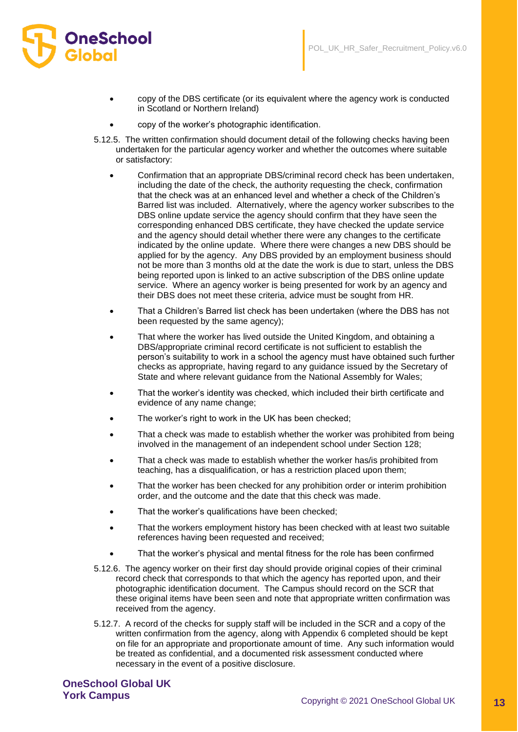

- copy of the DBS certificate (or its equivalent where the agency work is conducted in Scotland or Northern Ireland)
- copy of the worker's photographic identification.
- 5.12.5. The written confirmation should document detail of the following checks having been undertaken for the particular agency worker and whether the outcomes where suitable or satisfactory:
	- Confirmation that an appropriate DBS/criminal record check has been undertaken, including the date of the check, the authority requesting the check, confirmation that the check was at an enhanced level and whether a check of the Children's Barred list was included. Alternatively, where the agency worker subscribes to the DBS online update service the agency should confirm that they have seen the corresponding enhanced DBS certificate, they have checked the update service and the agency should detail whether there were any changes to the certificate indicated by the online update. Where there were changes a new DBS should be applied for by the agency. Any DBS provided by an employment business should not be more than 3 months old at the date the work is due to start, unless the DBS being reported upon is linked to an active subscription of the DBS online update service. Where an agency worker is being presented for work by an agency and their DBS does not meet these criteria, advice must be sought from HR.
	- That a Children's Barred list check has been undertaken (where the DBS has not been requested by the same agency);
	- That where the worker has lived outside the United Kingdom, and obtaining a DBS/appropriate criminal record certificate is not sufficient to establish the person's suitability to work in a school the agency must have obtained such further checks as appropriate, having regard to any guidance issued by the Secretary of State and where relevant guidance from the National Assembly for Wales;
	- That the worker's identity was checked, which included their birth certificate and evidence of any name change;
	- The worker's right to work in the UK has been checked;
	- That a check was made to establish whether the worker was prohibited from being involved in the management of an independent school under Section 128;
	- That a check was made to establish whether the worker has/is prohibited from teaching, has a disqualification, or has a restriction placed upon them;
	- That the worker has been checked for any prohibition order or interim prohibition order, and the outcome and the date that this check was made.
	- That the worker's qualifications have been checked;
	- That the workers employment history has been checked with at least two suitable references having been requested and received;
	- That the worker's physical and mental fitness for the role has been confirmed
- 5.12.6. The agency worker on their first day should provide original copies of their criminal record check that corresponds to that which the agency has reported upon, and their photographic identification document. The Campus should record on the SCR that these original items have been seen and note that appropriate written confirmation was received from the agency.
- 5.12.7. A record of the checks for supply staff will be included in the SCR and a copy of the written confirmation from the agency, along with Appendix 6 completed should be kept on file for an appropriate and proportionate amount of time. Any such information would be treated as confidential, and a documented risk assessment conducted where necessary in the event of a positive disclosure.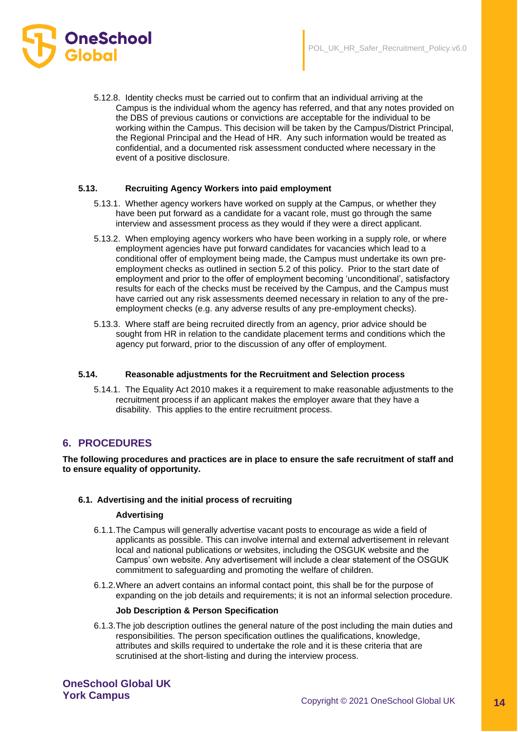



5.12.8. Identity checks must be carried out to confirm that an individual arriving at the Campus is the individual whom the agency has referred, and that any notes provided on the DBS of previous cautions or convictions are acceptable for the individual to be working within the Campus. This decision will be taken by the Campus/District Principal, the Regional Principal and the Head of HR. Any such information would be treated as confidential, and a documented risk assessment conducted where necessary in the event of a positive disclosure.

## **5.13. Recruiting Agency Workers into paid employment**

- 5.13.1. Whether agency workers have worked on supply at the Campus, or whether they have been put forward as a candidate for a vacant role, must go through the same interview and assessment process as they would if they were a direct applicant.
- 5.13.2. When employing agency workers who have been working in a supply role, or where employment agencies have put forward candidates for vacancies which lead to a conditional offer of employment being made, the Campus must undertake its own preemployment checks as outlined in section 5.2 of this policy. Prior to the start date of employment and prior to the offer of employment becoming 'unconditional', satisfactory results for each of the checks must be received by the Campus, and the Campus must have carried out any risk assessments deemed necessary in relation to any of the preemployment checks (e.g. any adverse results of any pre-employment checks).
- 5.13.3. Where staff are being recruited directly from an agency, prior advice should be sought from HR in relation to the candidate placement terms and conditions which the agency put forward, prior to the discussion of any offer of employment.

#### **5.14. Reasonable adjustments for the Recruitment and Selection process**

5.14.1. The Equality Act 2010 makes it a requirement to make reasonable adjustments to the recruitment process if an applicant makes the employer aware that they have a disability. This applies to the entire recruitment process.

# **6. PROCEDURES**

**The following procedures and practices are in place to ensure the safe recruitment of staff and to ensure equality of opportunity.**

#### **6.1. Advertising and the initial process of recruiting**

#### **Advertising**

- 6.1.1.The Campus will generally advertise vacant posts to encourage as wide a field of applicants as possible. This can involve internal and external advertisement in relevant local and national publications or websites, including the OSGUK website and the Campus' own website. Any advertisement will include a clear statement of the OSGUK commitment to safeguarding and promoting the welfare of children.
- 6.1.2.Where an advert contains an informal contact point, this shall be for the purpose of expanding on the job details and requirements; it is not an informal selection procedure.

#### **Job Description & Person Specification**

6.1.3.The job description outlines the general nature of the post including the main duties and responsibilities. The person specification outlines the qualifications, knowledge, attributes and skills required to undertake the role and it is these criteria that are scrutinised at the short-listing and during the interview process.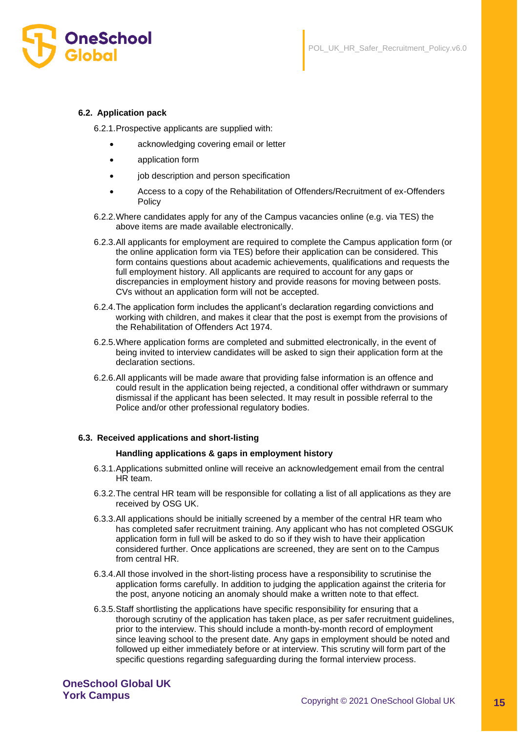## **6.2. Application pack**

6.2.1.Prospective applicants are supplied with:

- acknowledging covering email or letter
- application form
- job description and person specification
- Access to a copy of the Rehabilitation of Offenders/Recruitment of ex-Offenders Policy
- 6.2.2.Where candidates apply for any of the Campus vacancies online (e.g. via TES) the above items are made available electronically.
- 6.2.3.All applicants for employment are required to complete the Campus application form (or the online application form via TES) before their application can be considered. This form contains questions about academic achievements, qualifications and requests the full employment history. All applicants are required to account for any gaps or discrepancies in employment history and provide reasons for moving between posts. CVs without an application form will not be accepted.
- 6.2.4.The application form includes the applicant's declaration regarding convictions and working with children, and makes it clear that the post is exempt from the provisions of the Rehabilitation of Offenders Act 1974.
- 6.2.5.Where application forms are completed and submitted electronically, in the event of being invited to interview candidates will be asked to sign their application form at the declaration sections.
- 6.2.6.All applicants will be made aware that providing false information is an offence and could result in the application being rejected, a conditional offer withdrawn or summary dismissal if the applicant has been selected. It may result in possible referral to the Police and/or other professional regulatory bodies.

#### **6.3. Received applications and short-listing**

#### **Handling applications & gaps in employment history**

- 6.3.1.Applications submitted online will receive an acknowledgement email from the central HR team.
- 6.3.2.The central HR team will be responsible for collating a list of all applications as they are received by OSG UK.
- 6.3.3.All applications should be initially screened by a member of the central HR team who has completed safer recruitment training. Any applicant who has not completed OSGUK application form in full will be asked to do so if they wish to have their application considered further. Once applications are screened, they are sent on to the Campus from central HR.
- 6.3.4.All those involved in the short-listing process have a responsibility to scrutinise the application forms carefully. In addition to judging the application against the criteria for the post, anyone noticing an anomaly should make a written note to that effect.
- 6.3.5.Staff shortlisting the applications have specific responsibility for ensuring that a thorough scrutiny of the application has taken place, as per safer recruitment guidelines, prior to the interview. This should include a month-by-month record of employment since leaving school to the present date. Any gaps in employment should be noted and followed up either immediately before or at interview. This scrutiny will form part of the specific questions regarding safeguarding during the formal interview process.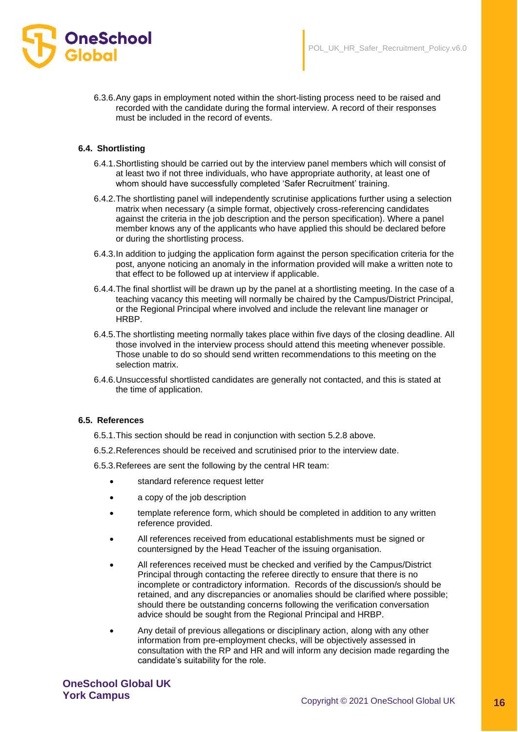

6.3.6.Any gaps in employment noted within the short-listing process need to be raised and recorded with the candidate during the formal interview. A record of their responses must be included in the record of events.

## **6.4. Shortlisting**

- 6.4.1.Shortlisting should be carried out by the interview panel members which will consist of at least two if not three individuals, who have appropriate authority, at least one of whom should have successfully completed 'Safer Recruitment' training.
- 6.4.2.The shortlisting panel will independently scrutinise applications further using a selection matrix when necessary (a simple format, objectively cross-referencing candidates against the criteria in the job description and the person specification). Where a panel member knows any of the applicants who have applied this should be declared before or during the shortlisting process.
- 6.4.3.In addition to judging the application form against the person specification criteria for the post, anyone noticing an anomaly in the information provided will make a written note to that effect to be followed up at interview if applicable.
- 6.4.4.The final shortlist will be drawn up by the panel at a shortlisting meeting. In the case of a teaching vacancy this meeting will normally be chaired by the Campus/District Principal, or the Regional Principal where involved and include the relevant line manager or HRBP.
- 6.4.5.The shortlisting meeting normally takes place within five days of the closing deadline. All those involved in the interview process should attend this meeting whenever possible. Those unable to do so should send written recommendations to this meeting on the selection matrix.
- 6.4.6.Unsuccessful shortlisted candidates are generally not contacted, and this is stated at the time of application.

#### **6.5. References**

- 6.5.1.This section should be read in conjunction with section 5.2.8 above.
- 6.5.2.References should be received and scrutinised prior to the interview date.
- 6.5.3.Referees are sent the following by the central HR team:
	- standard reference request letter
	- a copy of the job description
	- template reference form, which should be completed in addition to any written reference provided.
	- All references received from educational establishments must be signed or countersigned by the Head Teacher of the issuing organisation.
	- All references received must be checked and verified by the Campus/District Principal through contacting the referee directly to ensure that there is no incomplete or contradictory information. Records of the discussion/s should be retained, and any discrepancies or anomalies should be clarified where possible; should there be outstanding concerns following the verification conversation advice should be sought from the Regional Principal and HRBP.
	- Any detail of previous allegations or disciplinary action, along with any other information from pre-employment checks, will be objectively assessed in consultation with the RP and HR and will inform any decision made regarding the candidate's suitability for the role.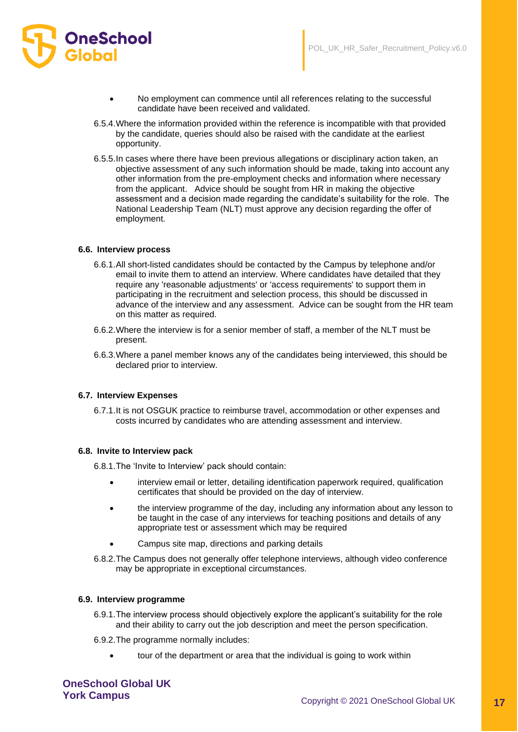

- No employment can commence until all references relating to the successful candidate have been received and validated.
- 6.5.4.Where the information provided within the reference is incompatible with that provided by the candidate, queries should also be raised with the candidate at the earliest opportunity.
- 6.5.5.In cases where there have been previous allegations or disciplinary action taken, an objective assessment of any such information should be made, taking into account any other information from the pre-employment checks and information where necessary from the applicant. Advice should be sought from HR in making the objective assessment and a decision made regarding the candidate's suitability for the role. The National Leadership Team (NLT) must approve any decision regarding the offer of employment.

#### **6.6. Interview process**

- 6.6.1.All short-listed candidates should be contacted by the Campus by telephone and/or email to invite them to attend an interview. Where candidates have detailed that they require any 'reasonable adjustments' or 'access requirements' to support them in participating in the recruitment and selection process, this should be discussed in advance of the interview and any assessment. Advice can be sought from the HR team on this matter as required.
- 6.6.2.Where the interview is for a senior member of staff, a member of the NLT must be present.
- 6.6.3.Where a panel member knows any of the candidates being interviewed, this should be declared prior to interview.

#### **6.7. Interview Expenses**

6.7.1.It is not OSGUK practice to reimburse travel, accommodation or other expenses and costs incurred by candidates who are attending assessment and interview.

#### **6.8. Invite to Interview pack**

6.8.1.The 'Invite to Interview' pack should contain:

- interview email or letter, detailing identification paperwork required, qualification certificates that should be provided on the day of interview.
- the interview programme of the day, including any information about any lesson to be taught in the case of any interviews for teaching positions and details of any appropriate test or assessment which may be required
- Campus site map, directions and parking details
- 6.8.2.The Campus does not generally offer telephone interviews, although video conference may be appropriate in exceptional circumstances.

#### **6.9. Interview programme**

- 6.9.1.The interview process should objectively explore the applicant's suitability for the role and their ability to carry out the job description and meet the person specification.
- 6.9.2.The programme normally includes:
	- tour of the department or area that the individual is going to work within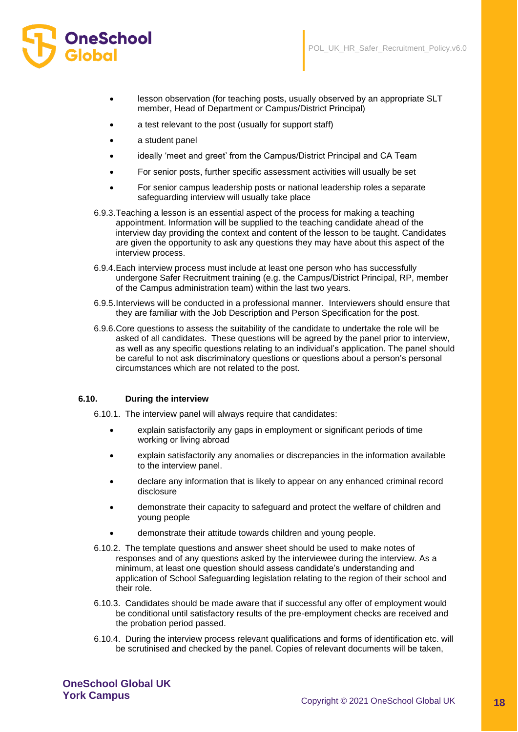

- lesson observation (for teaching posts, usually observed by an appropriate SLT member, Head of Department or Campus/District Principal)
- a test relevant to the post (usually for support staff)
- a student panel
- ideally 'meet and greet' from the Campus/District Principal and CA Team
- For senior posts, further specific assessment activities will usually be set
- For senior campus leadership posts or national leadership roles a separate safeguarding interview will usually take place
- 6.9.3.Teaching a lesson is an essential aspect of the process for making a teaching appointment. Information will be supplied to the teaching candidate ahead of the interview day providing the context and content of the lesson to be taught. Candidates are given the opportunity to ask any questions they may have about this aspect of the interview process.
- 6.9.4.Each interview process must include at least one person who has successfully undergone Safer Recruitment training (e.g. the Campus/District Principal, RP, member of the Campus administration team) within the last two years.
- 6.9.5.Interviews will be conducted in a professional manner. Interviewers should ensure that they are familiar with the Job Description and Person Specification for the post.
- 6.9.6.Core questions to assess the suitability of the candidate to undertake the role will be asked of all candidates. These questions will be agreed by the panel prior to interview, as well as any specific questions relating to an individual's application. The panel should be careful to not ask discriminatory questions or questions about a person's personal circumstances which are not related to the post.

#### **6.10. During the interview**

- 6.10.1. The interview panel will always require that candidates:
	- explain satisfactorily any gaps in employment or significant periods of time working or living abroad
	- explain satisfactorily any anomalies or discrepancies in the information available to the interview panel.
	- declare any information that is likely to appear on any enhanced criminal record disclosure
	- demonstrate their capacity to safeguard and protect the welfare of children and young people
	- demonstrate their attitude towards children and young people.
- 6.10.2. The template questions and answer sheet should be used to make notes of responses and of any questions asked by the interviewee during the interview. As a minimum, at least one question should assess candidate's understanding and application of School Safeguarding legislation relating to the region of their school and their role.
- 6.10.3. Candidates should be made aware that if successful any offer of employment would be conditional until satisfactory results of the pre-employment checks are received and the probation period passed.
- 6.10.4. During the interview process relevant qualifications and forms of identification etc. will be scrutinised and checked by the panel. Copies of relevant documents will be taken,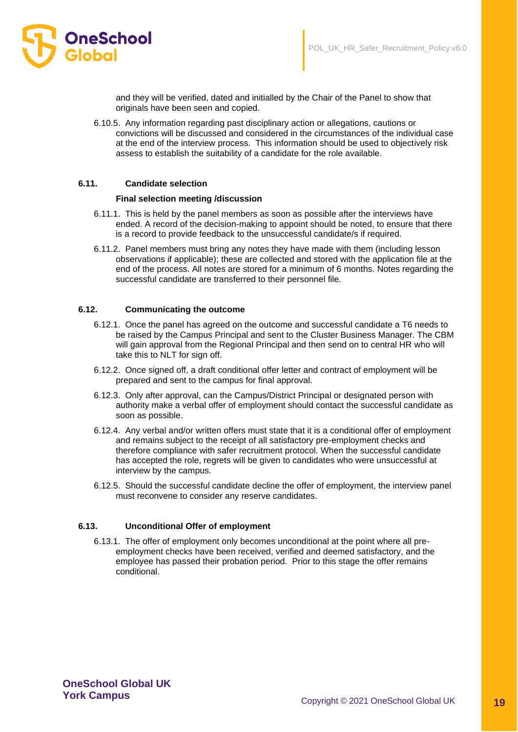

and they will be verified, dated and initialled by the Chair of the Panel to show that originals have been seen and copied.

6.10.5. Any information regarding past disciplinary action or allegations, cautions or convictions will be discussed and considered in the circumstances of the individual case at the end of the interview process. This information should be used to objectively risk assess to establish the suitability of a candidate for the role available.

#### **6.11. Candidate selection**

#### **Final selection meeting /discussion**

- 6.11.1. This is held by the panel members as soon as possible after the interviews have ended. A record of the decision-making to appoint should be noted, to ensure that there is a record to provide feedback to the unsuccessful candidate/s if required.
- 6.11.2. Panel members must bring any notes they have made with them (including lesson observations if applicable); these are collected and stored with the application file at the end of the process. All notes are stored for a minimum of 6 months. Notes regarding the successful candidate are transferred to their personnel file.

#### **6.12. Communicating the outcome**

- 6.12.1. Once the panel has agreed on the outcome and successful candidate a T6 needs to be raised by the Campus Principal and sent to the Cluster Business Manager. The CBM will gain approval from the Regional Principal and then send on to central HR who will take this to NLT for sign off.
- 6.12.2. Once signed off, a draft conditional offer letter and contract of employment will be prepared and sent to the campus for final approval.
- 6.12.3. Only after approval, can the Campus/District Principal or designated person with authority make a verbal offer of employment should contact the successful candidate as soon as possible.
- 6.12.4. Any verbal and/or written offers must state that it is a conditional offer of employment and remains subject to the receipt of all satisfactory pre-employment checks and therefore compliance with safer recruitment protocol. When the successful candidate has accepted the role, regrets will be given to candidates who were unsuccessful at interview by the campus.
- 6.12.5. Should the successful candidate decline the offer of employment, the interview panel must reconvene to consider any reserve candidates.

#### **6.13. Unconditional Offer of employment**

6.13.1. The offer of employment only becomes unconditional at the point where all preemployment checks have been received, verified and deemed satisfactory, and the employee has passed their probation period. Prior to this stage the offer remains conditional.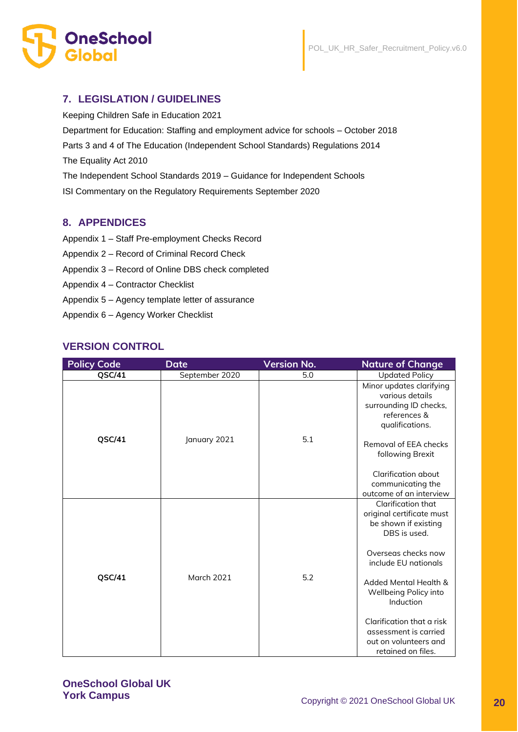

# **7. LEGISLATION / GUIDELINES**

Keeping Children Safe in Education 2021 Department for Education: Staffing and employment advice for schools – October 2018 Parts 3 and 4 of The Education (Independent School Standards) Regulations 2014 The Equality Act 2010 The Independent School Standards 2019 – Guidance for Independent Schools ISI Commentary on the Regulatory Requirements September 2020

# **8. APPENDICES**

- Appendix 1 Staff Pre-employment Checks Record
- Appendix 2 Record of Criminal Record Check
- Appendix 3 Record of Online DBS check completed
- Appendix 4 Contractor Checklist
- Appendix 5 Agency template letter of assurance
- Appendix 6 Agency Worker Checklist

# **VERSION CONTROL**

| <b>Policy Code</b> | <b>Date</b>       | <b>Version No.</b> | <b>Nature of Change</b>                                                                                  |
|--------------------|-------------------|--------------------|----------------------------------------------------------------------------------------------------------|
| QSC/41             | September 2020    | 5.0                | <b>Updated Policy</b>                                                                                    |
|                    |                   |                    | Minor updates clarifying<br>various details<br>surrounding ID checks,<br>references &<br>qualifications. |
| QSC/41             | January 2021      | 5.1                | Removal of EEA checks<br>following Brexit                                                                |
|                    |                   |                    | Clarification about                                                                                      |
|                    |                   |                    | communicating the                                                                                        |
|                    |                   |                    | outcome of an interview                                                                                  |
|                    |                   |                    | Clarification that<br>original certificate must<br>be shown if existing<br>DBS is used.                  |
| QSC/41             | <b>March 2021</b> | 5.2                | Overseas checks now<br>include EU nationals                                                              |
|                    |                   |                    | Added Mental Health &<br>Wellbeing Policy into<br>Induction                                              |
|                    |                   |                    | Clarification that a risk<br>assessment is carried<br>out on volunteers and<br>retained on files.        |